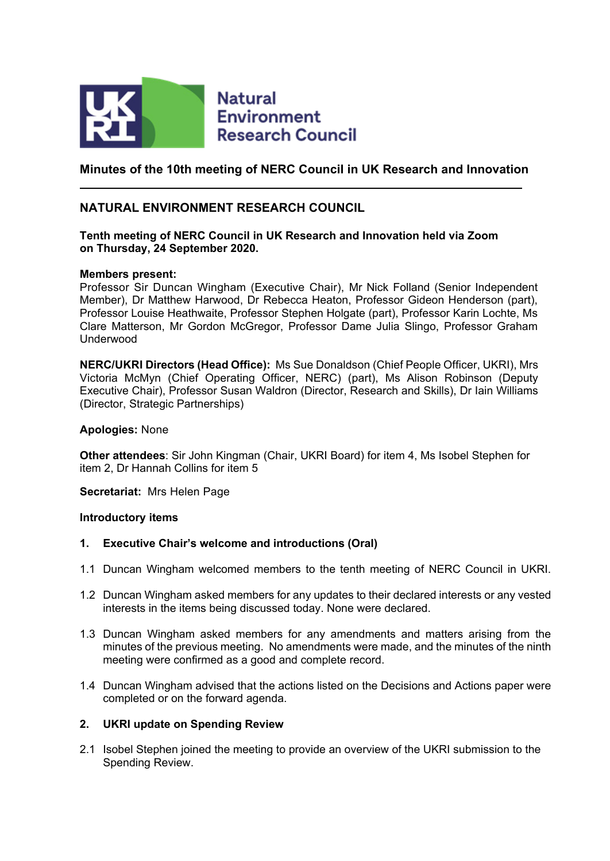

**Natural Environment Research Council** 

**Minutes of the 10th meeting of NERC Council in UK Research and Innovation**

# **NATURAL ENVIRONMENT RESEARCH COUNCIL**

**Tenth meeting of NERC Council in UK Research and Innovation held via Zoom on Thursday, 24 September 2020.** 

#### **Members present:**

Professor Sir Duncan Wingham (Executive Chair), Mr Nick Folland (Senior Independent Member), Dr Matthew Harwood, Dr Rebecca Heaton, Professor Gideon Henderson (part), Professor Louise Heathwaite, Professor Stephen Holgate (part), Professor Karin Lochte, Ms Clare Matterson, Mr Gordon McGregor, Professor Dame Julia Slingo, Professor Graham Underwood

**NERC/UKRI Directors (Head Office):** Ms Sue Donaldson (Chief People Officer, UKRI), Mrs Victoria McMyn (Chief Operating Officer, NERC) (part), Ms Alison Robinson (Deputy Executive Chair), Professor Susan Waldron (Director, Research and Skills), Dr Iain Williams (Director, Strategic Partnerships)

#### **Apologies:** None

**Other attendees**: Sir John Kingman (Chair, UKRI Board) for item 4, Ms Isobel Stephen for item 2, Dr Hannah Collins for item 5

**Secretariat:** Mrs Helen Page

#### **Introductory items**

- **1. Executive Chair's welcome and introductions (Oral)**
- 1.1 Duncan Wingham welcomed members to the tenth meeting of NERC Council in UKRI.
- 1.2 Duncan Wingham asked members for any updates to their declared interests or any vested interests in the items being discussed today. None were declared.
- 1.3 Duncan Wingham asked members for any amendments and matters arising from the minutes of the previous meeting. No amendments were made, and the minutes of the ninth meeting were confirmed as a good and complete record.
- 1.4 Duncan Wingham advised that the actions listed on the Decisions and Actions paper were completed or on the forward agenda.

#### **2. UKRI update on Spending Review**

2.1 Isobel Stephen joined the meeting to provide an overview of the UKRI submission to the Spending Review.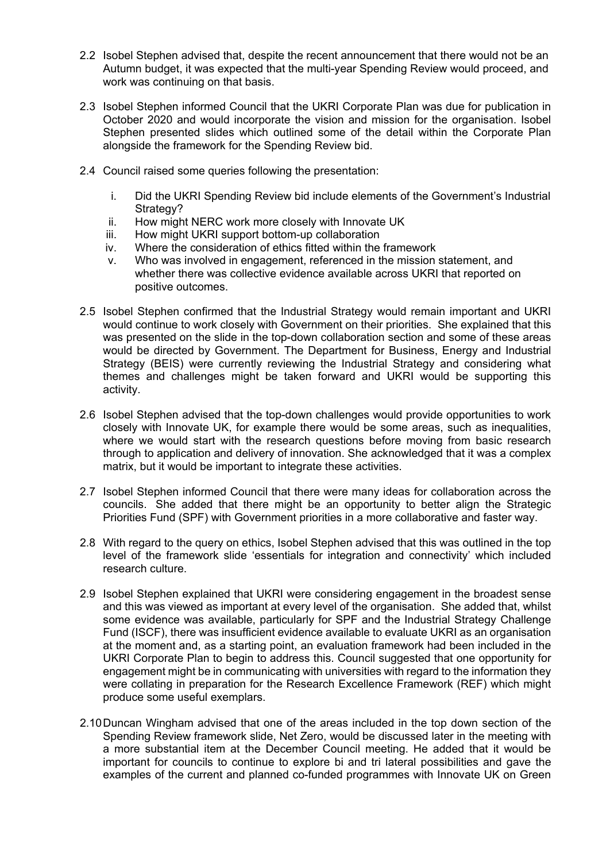- 2.2 Isobel Stephen advised that, despite the recent announcement that there would not be an Autumn budget, it was expected that the multi-year Spending Review would proceed, and work was continuing on that basis.
- 2.3 Isobel Stephen informed Council that the UKRI Corporate Plan was due for publication in October 2020 and would incorporate the vision and mission for the organisation. Isobel Stephen presented slides which outlined some of the detail within the Corporate Plan alongside the framework for the Spending Review bid.
- 2.4 Council raised some queries following the presentation:
	- i. Did the UKRI Spending Review bid include elements of the Government's Industrial Strategy?
	- ii. How might NERC work more closely with Innovate UK
	- iii. How might UKRI support bottom-up collaboration
	- iv. Where the consideration of ethics fitted within the framework
	- v. Who was involved in engagement, referenced in the mission statement, and whether there was collective evidence available across UKRI that reported on positive outcomes.
- 2.5 Isobel Stephen confirmed that the Industrial Strategy would remain important and UKRI would continue to work closely with Government on their priorities. She explained that this was presented on the slide in the top-down collaboration section and some of these areas would be directed by Government. The Department for Business, Energy and Industrial Strategy (BEIS) were currently reviewing the Industrial Strategy and considering what themes and challenges might be taken forward and UKRI would be supporting this activity.
- 2.6 Isobel Stephen advised that the top-down challenges would provide opportunities to work closely with Innovate UK, for example there would be some areas, such as inequalities, where we would start with the research questions before moving from basic research through to application and delivery of innovation. She acknowledged that it was a complex matrix, but it would be important to integrate these activities.
- 2.7 Isobel Stephen informed Council that there were many ideas for collaboration across the councils. She added that there might be an opportunity to better align the Strategic Priorities Fund (SPF) with Government priorities in a more collaborative and faster way.
- 2.8 With regard to the query on ethics, Isobel Stephen advised that this was outlined in the top level of the framework slide 'essentials for integration and connectivity' which included research culture.
- 2.9 Isobel Stephen explained that UKRI were considering engagement in the broadest sense and this was viewed as important at every level of the organisation. She added that, whilst some evidence was available, particularly for SPF and the Industrial Strategy Challenge Fund (ISCF), there was insufficient evidence available to evaluate UKRI as an organisation at the moment and, as a starting point, an evaluation framework had been included in the UKRI Corporate Plan to begin to address this. Council suggested that one opportunity for engagement might be in communicating with universities with regard to the information they were collating in preparation for the Research Excellence Framework (REF) which might produce some useful exemplars.
- 2.10Duncan Wingham advised that one of the areas included in the top down section of the Spending Review framework slide, Net Zero, would be discussed later in the meeting with a more substantial item at the December Council meeting. He added that it would be important for councils to continue to explore bi and tri lateral possibilities and gave the examples of the current and planned co-funded programmes with Innovate UK on Green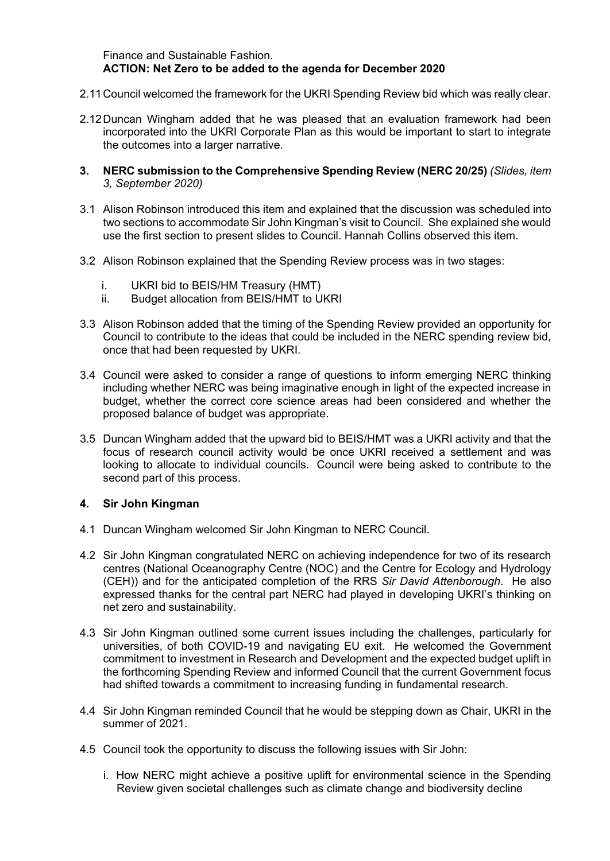#### Finance and Sustainable Fashion. **ACTION: Net Zero to be added to the agenda for December 2020**

- 2.11Council welcomed the framework for the UKRI Spending Review bid which was really clear.
- 2.12Duncan Wingham added that he was pleased that an evaluation framework had been incorporated into the UKRI Corporate Plan as this would be important to start to integrate the outcomes into a larger narrative.
- **3. NERC submission to the Comprehensive Spending Review (NERC 20/25)** *(Slides, item 3, September 2020)*
- 3.1 Alison Robinson introduced this item and explained that the discussion was scheduled into two sections to accommodate Sir John Kingman's visit to Council. She explained she would use the first section to present slides to Council. Hannah Collins observed this item.
- 3.2 Alison Robinson explained that the Spending Review process was in two stages:
	- i. UKRI bid to BEIS/HM Treasury (HMT)
	- ii. Budget allocation from BEIS/HMT to UKRI
- 3.3 Alison Robinson added that the timing of the Spending Review provided an opportunity for Council to contribute to the ideas that could be included in the NERC spending review bid, once that had been requested by UKRI.
- 3.4 Council were asked to consider a range of questions to inform emerging NERC thinking including whether NERC was being imaginative enough in light of the expected increase in budget, whether the correct core science areas had been considered and whether the proposed balance of budget was appropriate.
- 3.5 Duncan Wingham added that the upward bid to BEIS/HMT was a UKRI activity and that the focus of research council activity would be once UKRI received a settlement and was looking to allocate to individual councils. Council were being asked to contribute to the second part of this process.

## **4. Sir John Kingman**

- 4.1 Duncan Wingham welcomed Sir John Kingman to NERC Council.
- 4.2 Sir John Kingman congratulated NERC on achieving independence for two of its research centres (National Oceanography Centre (NOC) and the Centre for Ecology and Hydrology (CEH)) and for the anticipated completion of the RRS *Sir David Attenborough*. He also expressed thanks for the central part NERC had played in developing UKRI's thinking on net zero and sustainability.
- 4.3 Sir John Kingman outlined some current issues including the challenges, particularly for universities, of both COVID-19 and navigating EU exit. He welcomed the Government commitment to investment in Research and Development and the expected budget uplift in the forthcoming Spending Review and informed Council that the current Government focus had shifted towards a commitment to increasing funding in fundamental research.
- 4.4 Sir John Kingman reminded Council that he would be stepping down as Chair, UKRI in the summer of 2021.
- 4.5 Council took the opportunity to discuss the following issues with Sir John:
	- i. How NERC might achieve a positive uplift for environmental science in the Spending Review given societal challenges such as climate change and biodiversity decline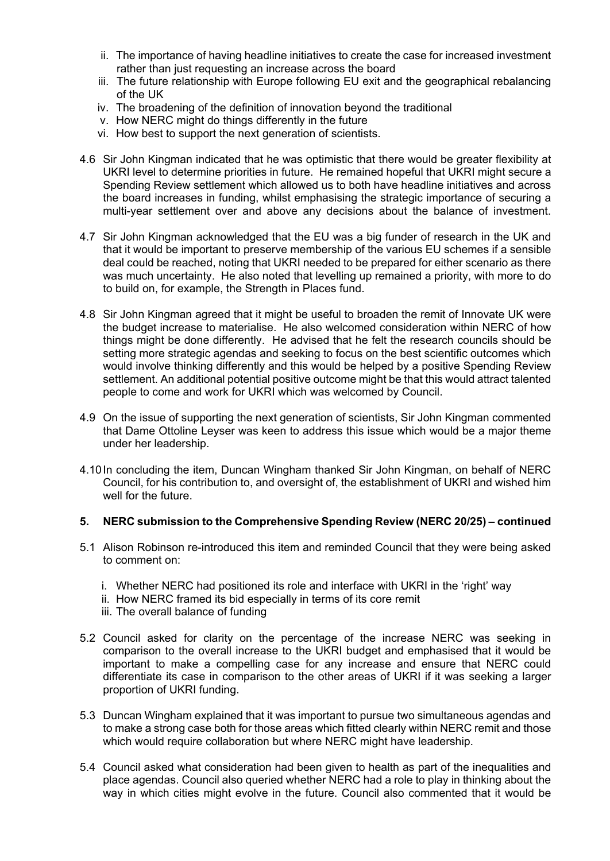- ii. The importance of having headline initiatives to create the case for increased investment rather than just requesting an increase across the board
- iii. The future relationship with Europe following EU exit and the geographical rebalancing of the UK
- iv. The broadening of the definition of innovation beyond the traditional
- v. How NERC might do things differently in the future
- vi. How best to support the next generation of scientists.
- 4.6 Sir John Kingman indicated that he was optimistic that there would be greater flexibility at UKRI level to determine priorities in future. He remained hopeful that UKRI might secure a Spending Review settlement which allowed us to both have headline initiatives and across the board increases in funding, whilst emphasising the strategic importance of securing a multi-year settlement over and above any decisions about the balance of investment.
- 4.7 Sir John Kingman acknowledged that the EU was a big funder of research in the UK and that it would be important to preserve membership of the various EU schemes if a sensible deal could be reached, noting that UKRI needed to be prepared for either scenario as there was much uncertainty. He also noted that levelling up remained a priority, with more to do to build on, for example, the Strength in Places fund.
- 4.8 Sir John Kingman agreed that it might be useful to broaden the remit of Innovate UK were the budget increase to materialise. He also welcomed consideration within NERC of how things might be done differently. He advised that he felt the research councils should be setting more strategic agendas and seeking to focus on the best scientific outcomes which would involve thinking differently and this would be helped by a positive Spending Review settlement. An additional potential positive outcome might be that this would attract talented people to come and work for UKRI which was welcomed by Council.
- 4.9 On the issue of supporting the next generation of scientists, Sir John Kingman commented that Dame Ottoline Leyser was keen to address this issue which would be a major theme under her leadership.
- 4.10In concluding the item, Duncan Wingham thanked Sir John Kingman, on behalf of NERC Council, for his contribution to, and oversight of, the establishment of UKRI and wished him well for the future.

### **5. NERC submission to the Comprehensive Spending Review (NERC 20/25) – continued**

- 5.1 Alison Robinson re-introduced this item and reminded Council that they were being asked to comment on:
	- i. Whether NERC had positioned its role and interface with UKRI in the 'right' way
	- ii. How NERC framed its bid especially in terms of its core remit
	- iii. The overall balance of funding
- 5.2 Council asked for clarity on the percentage of the increase NERC was seeking in comparison to the overall increase to the UKRI budget and emphasised that it would be important to make a compelling case for any increase and ensure that NERC could differentiate its case in comparison to the other areas of UKRI if it was seeking a larger proportion of UKRI funding.
- 5.3 Duncan Wingham explained that it was important to pursue two simultaneous agendas and to make a strong case both for those areas which fitted clearly within NERC remit and those which would require collaboration but where NERC might have leadership.
- 5.4 Council asked what consideration had been given to health as part of the inequalities and place agendas. Council also queried whether NERC had a role to play in thinking about the way in which cities might evolve in the future. Council also commented that it would be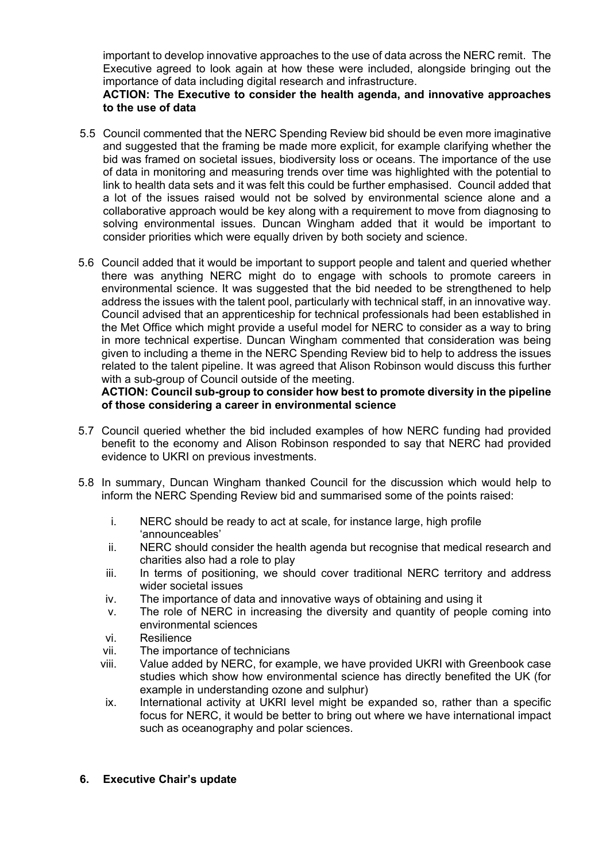important to develop innovative approaches to the use of data across the NERC remit. The Executive agreed to look again at how these were included, alongside bringing out the importance of data including digital research and infrastructure.

### **ACTION: The Executive to consider the health agenda, and innovative approaches to the use of data**

- 5.5 Council commented that the NERC Spending Review bid should be even more imaginative and suggested that the framing be made more explicit, for example clarifying whether the bid was framed on societal issues, biodiversity loss or oceans. The importance of the use of data in monitoring and measuring trends over time was highlighted with the potential to link to health data sets and it was felt this could be further emphasised. Council added that a lot of the issues raised would not be solved by environmental science alone and a collaborative approach would be key along with a requirement to move from diagnosing to solving environmental issues. Duncan Wingham added that it would be important to consider priorities which were equally driven by both society and science.
- 5.6 Council added that it would be important to support people and talent and queried whether there was anything NERC might do to engage with schools to promote careers in environmental science. It was suggested that the bid needed to be strengthened to help address the issues with the talent pool, particularly with technical staff, in an innovative way. Council advised that an apprenticeship for technical professionals had been established in the Met Office which might provide a useful model for NERC to consider as a way to bring in more technical expertise. Duncan Wingham commented that consideration was being given to including a theme in the NERC Spending Review bid to help to address the issues related to the talent pipeline. It was agreed that Alison Robinson would discuss this further with a sub-group of Council outside of the meeting.

## **ACTION: Council sub-group to consider how best to promote diversity in the pipeline of those considering a career in environmental science**

- 5.7 Council queried whether the bid included examples of how NERC funding had provided benefit to the economy and Alison Robinson responded to say that NERC had provided evidence to UKRI on previous investments.
- 5.8 In summary, Duncan Wingham thanked Council for the discussion which would help to inform the NERC Spending Review bid and summarised some of the points raised:
	- i. NERC should be ready to act at scale, for instance large, high profile 'announceables'
	- ii. NERC should consider the health agenda but recognise that medical research and charities also had a role to play
	- iii. In terms of positioning, we should cover traditional NERC territory and address wider societal issues
	- iv. The importance of data and innovative ways of obtaining and using it
	- v. The role of NERC in increasing the diversity and quantity of people coming into environmental sciences
	- vi. Resilience
	- vii. The importance of technicians
	- viii. Value added by NERC, for example, we have provided UKRI with Greenbook case studies which show how environmental science has directly benefited the UK (for example in understanding ozone and sulphur)
	- ix. International activity at UKRI level might be expanded so, rather than a specific focus for NERC, it would be better to bring out where we have international impact such as oceanography and polar sciences.

# **6. Executive Chair's update**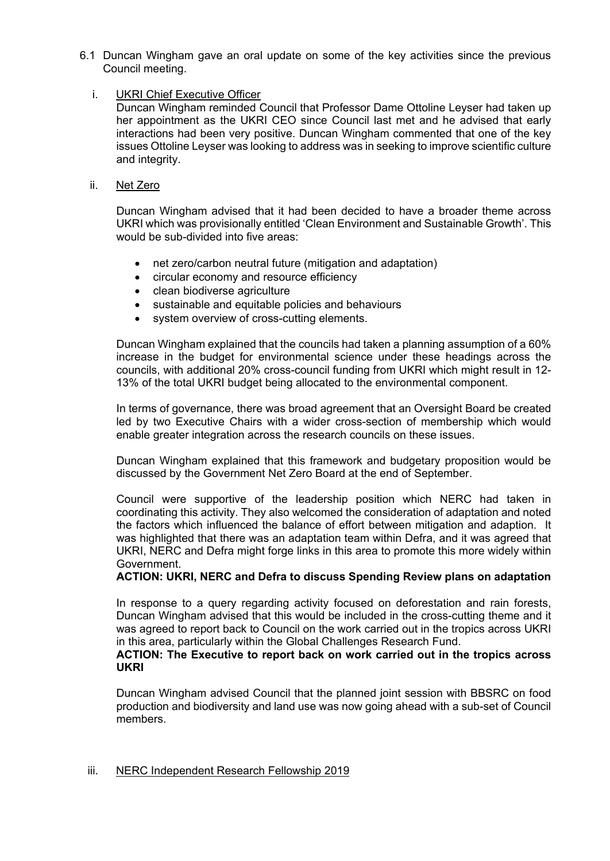- 6.1 Duncan Wingham gave an oral update on some of the key activities since the previous Council meeting.
	- i. UKRI Chief Executive Officer

Duncan Wingham reminded Council that Professor Dame Ottoline Leyser had taken up her appointment as the UKRI CEO since Council last met and he advised that early interactions had been very positive. Duncan Wingham commented that one of the key issues Ottoline Leyser was looking to address was in seeking to improve scientific culture and integrity.

ii. Net Zero

Duncan Wingham advised that it had been decided to have a broader theme across UKRI which was provisionally entitled 'Clean Environment and Sustainable Growth'. This would be sub-divided into five areas:

- net zero/carbon neutral future (mitigation and adaptation)
- circular economy and resource efficiency
- clean biodiverse agriculture
- sustainable and equitable policies and behaviours
- system overview of cross-cutting elements.

Duncan Wingham explained that the councils had taken a planning assumption of a 60% increase in the budget for environmental science under these headings across the councils, with additional 20% cross-council funding from UKRI which might result in 12- 13% of the total UKRI budget being allocated to the environmental component.

In terms of governance, there was broad agreement that an Oversight Board be created led by two Executive Chairs with a wider cross-section of membership which would enable greater integration across the research councils on these issues.

Duncan Wingham explained that this framework and budgetary proposition would be discussed by the Government Net Zero Board at the end of September.

Council were supportive of the leadership position which NERC had taken in coordinating this activity. They also welcomed the consideration of adaptation and noted the factors which influenced the balance of effort between mitigation and adaption. It was highlighted that there was an adaptation team within Defra, and it was agreed that UKRI, NERC and Defra might forge links in this area to promote this more widely within Government.

## **ACTION: UKRI, NERC and Defra to discuss Spending Review plans on adaptation**

In response to a query regarding activity focused on deforestation and rain forests, Duncan Wingham advised that this would be included in the cross-cutting theme and it was agreed to report back to Council on the work carried out in the tropics across UKRI in this area, particularly within the Global Challenges Research Fund.

### **ACTION: The Executive to report back on work carried out in the tropics across UKRI**

Duncan Wingham advised Council that the planned joint session with BBSRC on food production and biodiversity and land use was now going ahead with a sub-set of Council members.

#### iii. NERC Independent Research Fellowship 2019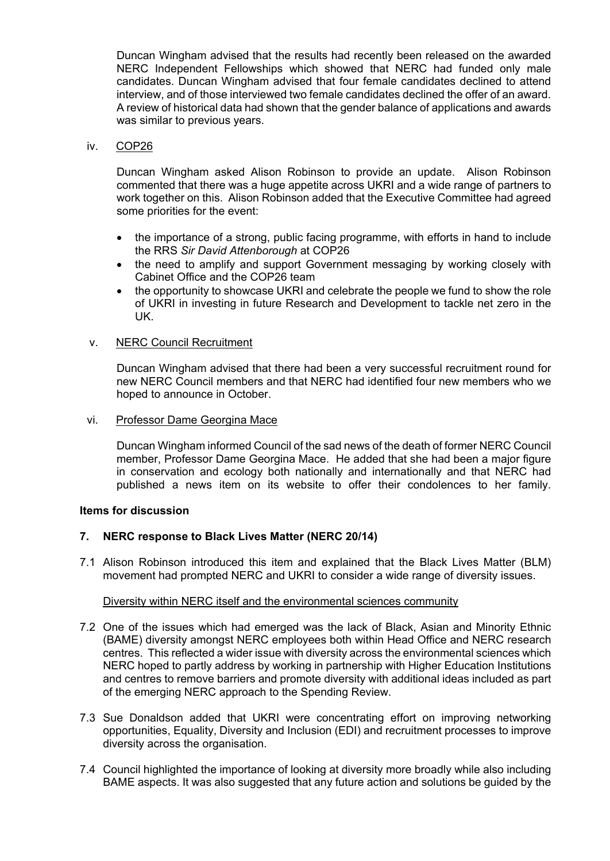Duncan Wingham advised that the results had recently been released on the awarded NERC Independent Fellowships which showed that NERC had funded only male candidates. Duncan Wingham advised that four female candidates declined to attend interview, and of those interviewed two female candidates declined the offer of an award. A review of historical data had shown that the gender balance of applications and awards was similar to previous years.

### iv. COP26

Duncan Wingham asked Alison Robinson to provide an update. Alison Robinson commented that there was a huge appetite across UKRI and a wide range of partners to work together on this. Alison Robinson added that the Executive Committee had agreed some priorities for the event:

- the importance of a strong, public facing programme, with efforts in hand to include the RRS *Sir David Attenborough* at COP26
- the need to amplify and support Government messaging by working closely with Cabinet Office and the COP26 team
- the opportunity to showcase UKRI and celebrate the people we fund to show the role of UKRI in investing in future Research and Development to tackle net zero in the UK.

### v. NERC Council Recruitment

Duncan Wingham advised that there had been a very successful recruitment round for new NERC Council members and that NERC had identified four new members who we hoped to announce in October.

### vi. Professor Dame Georgina Mace

Duncan Wingham informed Council of the sad news of the death of former NERC Council member, Professor Dame Georgina Mace. He added that she had been a major figure in conservation and ecology both nationally and internationally and that NERC had published a news item on its website to offer their condolences to her family.

### **Items for discussion**

## **7. NERC response to Black Lives Matter (NERC 20/14)**

7.1 Alison Robinson introduced this item and explained that the Black Lives Matter (BLM) movement had prompted NERC and UKRI to consider a wide range of diversity issues.

#### Diversity within NERC itself and the environmental sciences community

- 7.2 One of the issues which had emerged was the lack of Black, Asian and Minority Ethnic (BAME) diversity amongst NERC employees both within Head Office and NERC research centres. This reflected a wider issue with diversity across the environmental sciences which NERC hoped to partly address by working in partnership with Higher Education Institutions and centres to remove barriers and promote diversity with additional ideas included as part of the emerging NERC approach to the Spending Review.
- 7.3 Sue Donaldson added that UKRI were concentrating effort on improving networking opportunities, Equality, Diversity and Inclusion (EDI) and recruitment processes to improve diversity across the organisation.
- 7.4 Council highlighted the importance of looking at diversity more broadly while also including BAME aspects. It was also suggested that any future action and solutions be guided by the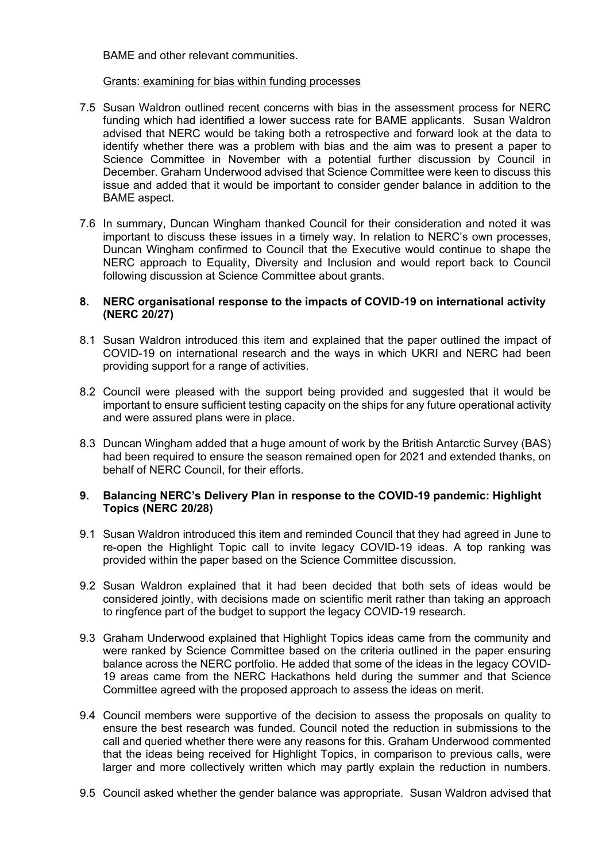BAME and other relevant communities.

#### Grants: examining for bias within funding processes

- 7.5 Susan Waldron outlined recent concerns with bias in the assessment process for NERC funding which had identified a lower success rate for BAME applicants. Susan Waldron advised that NERC would be taking both a retrospective and forward look at the data to identify whether there was a problem with bias and the aim was to present a paper to Science Committee in November with a potential further discussion by Council in December. Graham Underwood advised that Science Committee were keen to discuss this issue and added that it would be important to consider gender balance in addition to the BAME aspect.
- 7.6 In summary, Duncan Wingham thanked Council for their consideration and noted it was important to discuss these issues in a timely way. In relation to NERC's own processes, Duncan Wingham confirmed to Council that the Executive would continue to shape the NERC approach to Equality, Diversity and Inclusion and would report back to Council following discussion at Science Committee about grants.

### **8. NERC organisational response to the impacts of COVID-19 on international activity (NERC 20/27)**

- 8.1 Susan Waldron introduced this item and explained that the paper outlined the impact of COVID-19 on international research and the ways in which UKRI and NERC had been providing support for a range of activities.
- 8.2 Council were pleased with the support being provided and suggested that it would be important to ensure sufficient testing capacity on the ships for any future operational activity and were assured plans were in place.
- 8.3 Duncan Wingham added that a huge amount of work by the British Antarctic Survey (BAS) had been required to ensure the season remained open for 2021 and extended thanks, on behalf of NERC Council, for their efforts.

### **9. Balancing NERC's Delivery Plan in response to the COVID-19 pandemic: Highlight Topics (NERC 20/28)**

- 9.1 Susan Waldron introduced this item and reminded Council that they had agreed in June to re-open the Highlight Topic call to invite legacy COVID-19 ideas. A top ranking was provided within the paper based on the Science Committee discussion.
- 9.2 Susan Waldron explained that it had been decided that both sets of ideas would be considered jointly, with decisions made on scientific merit rather than taking an approach to ringfence part of the budget to support the legacy COVID-19 research.
- 9.3 Graham Underwood explained that Highlight Topics ideas came from the community and were ranked by Science Committee based on the criteria outlined in the paper ensuring balance across the NERC portfolio. He added that some of the ideas in the legacy COVID-19 areas came from the NERC Hackathons held during the summer and that Science Committee agreed with the proposed approach to assess the ideas on merit.
- 9.4 Council members were supportive of the decision to assess the proposals on quality to ensure the best research was funded. Council noted the reduction in submissions to the call and queried whether there were any reasons for this. Graham Underwood commented that the ideas being received for Highlight Topics, in comparison to previous calls, were larger and more collectively written which may partly explain the reduction in numbers.
- 9.5 Council asked whether the gender balance was appropriate. Susan Waldron advised that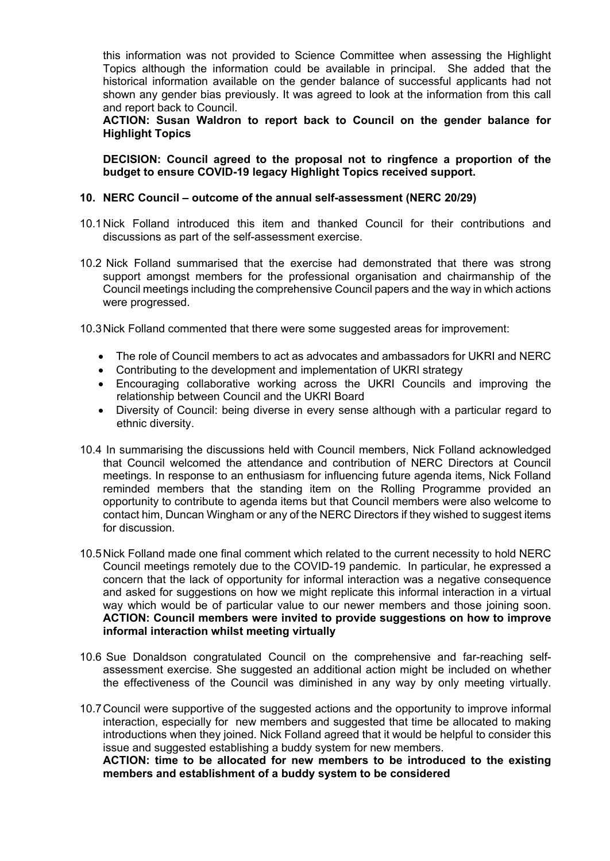this information was not provided to Science Committee when assessing the Highlight Topics although the information could be available in principal. She added that the historical information available on the gender balance of successful applicants had not shown any gender bias previously. It was agreed to look at the information from this call and report back to Council.

**ACTION: Susan Waldron to report back to Council on the gender balance for Highlight Topics**

**DECISION: Council agreed to the proposal not to ringfence a proportion of the budget to ensure COVID-19 legacy Highlight Topics received support.**

### **10. NERC Council – outcome of the annual self-assessment (NERC 20/29)**

- 10.1Nick Folland introduced this item and thanked Council for their contributions and discussions as part of the self-assessment exercise.
- 10.2 Nick Folland summarised that the exercise had demonstrated that there was strong support amongst members for the professional organisation and chairmanship of the Council meetings including the comprehensive Council papers and the way in which actions were progressed.

10.3Nick Folland commented that there were some suggested areas for improvement:

- The role of Council members to act as advocates and ambassadors for UKRI and NERC
- Contributing to the development and implementation of UKRI strategy
- Encouraging collaborative working across the UKRI Councils and improving the relationship between Council and the UKRI Board
- Diversity of Council: being diverse in every sense although with a particular regard to ethnic diversity.
- 10.4 In summarising the discussions held with Council members, Nick Folland acknowledged that Council welcomed the attendance and contribution of NERC Directors at Council meetings. In response to an enthusiasm for influencing future agenda items, Nick Folland reminded members that the standing item on the Rolling Programme provided an opportunity to contribute to agenda items but that Council members were also welcome to contact him, Duncan Wingham or any of the NERC Directors if they wished to suggest items for discussion.
- 10.5Nick Folland made one final comment which related to the current necessity to hold NERC Council meetings remotely due to the COVID-19 pandemic. In particular, he expressed a concern that the lack of opportunity for informal interaction was a negative consequence and asked for suggestions on how we might replicate this informal interaction in a virtual way which would be of particular value to our newer members and those joining soon. **ACTION: Council members were invited to provide suggestions on how to improve informal interaction whilst meeting virtually**
- 10.6 Sue Donaldson congratulated Council on the comprehensive and far-reaching selfassessment exercise. She suggested an additional action might be included on whether the effectiveness of the Council was diminished in any way by only meeting virtually.
- 10.7Council were supportive of the suggested actions and the opportunity to improve informal interaction, especially for new members and suggested that time be allocated to making introductions when they joined. Nick Folland agreed that it would be helpful to consider this issue and suggested establishing a buddy system for new members.

**ACTION: time to be allocated for new members to be introduced to the existing members and establishment of a buddy system to be considered**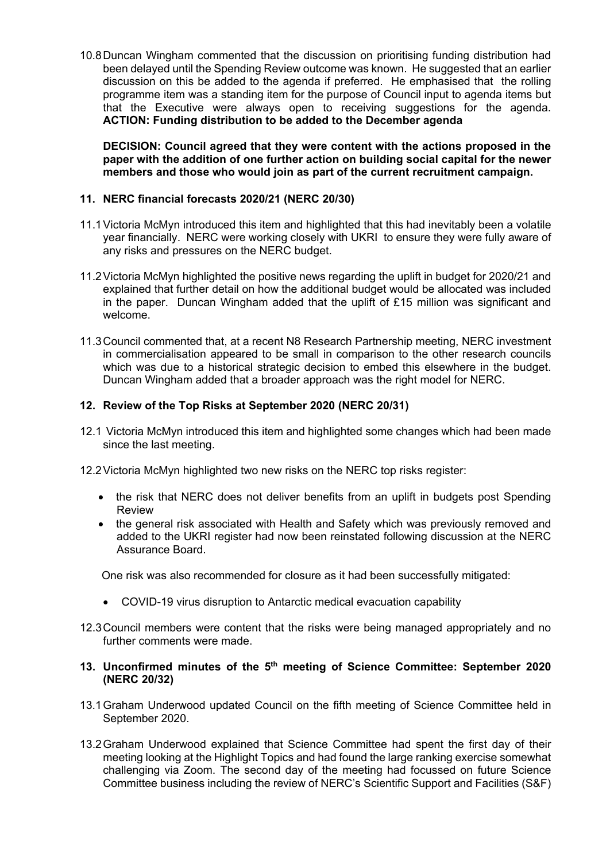10.8Duncan Wingham commented that the discussion on prioritising funding distribution had been delayed until the Spending Review outcome was known. He suggested that an earlier discussion on this be added to the agenda if preferred. He emphasised that the rolling programme item was a standing item for the purpose of Council input to agenda items but that the Executive were always open to receiving suggestions for the agenda. **ACTION: Funding distribution to be added to the December agenda**

**DECISION: Council agreed that they were content with the actions proposed in the paper with the addition of one further action on building social capital for the newer members and those who would join as part of the current recruitment campaign.**

## **11. NERC financial forecasts 2020/21 (NERC 20/30)**

- 11.1Victoria McMyn introduced this item and highlighted that this had inevitably been a volatile year financially. NERC were working closely with UKRI to ensure they were fully aware of any risks and pressures on the NERC budget.
- 11.2Victoria McMyn highlighted the positive news regarding the uplift in budget for 2020/21 and explained that further detail on how the additional budget would be allocated was included in the paper. Duncan Wingham added that the uplift of £15 million was significant and welcome.
- 11.3Council commented that, at a recent N8 Research Partnership meeting, NERC investment in commercialisation appeared to be small in comparison to the other research councils which was due to a historical strategic decision to embed this elsewhere in the budget. Duncan Wingham added that a broader approach was the right model for NERC.

## **12. Review of the Top Risks at September 2020 (NERC 20/31)**

12.1 Victoria McMyn introduced this item and highlighted some changes which had been made since the last meeting.

12.2Victoria McMyn highlighted two new risks on the NERC top risks register:

- the risk that NERC does not deliver benefits from an uplift in budgets post Spending Review
- the general risk associated with Health and Safety which was previously removed and added to the UKRI register had now been reinstated following discussion at the NERC Assurance Board.

One risk was also recommended for closure as it had been successfully mitigated:

- COVID-19 virus disruption to Antarctic medical evacuation capability
- 12.3Council members were content that the risks were being managed appropriately and no further comments were made.

## **13. Unconfirmed minutes of the 5th meeting of Science Committee: September 2020 (NERC 20/32)**

- 13.1Graham Underwood updated Council on the fifth meeting of Science Committee held in September 2020.
- 13.2Graham Underwood explained that Science Committee had spent the first day of their meeting looking at the Highlight Topics and had found the large ranking exercise somewhat challenging via Zoom. The second day of the meeting had focussed on future Science Committee business including the review of NERC's Scientific Support and Facilities (S&F)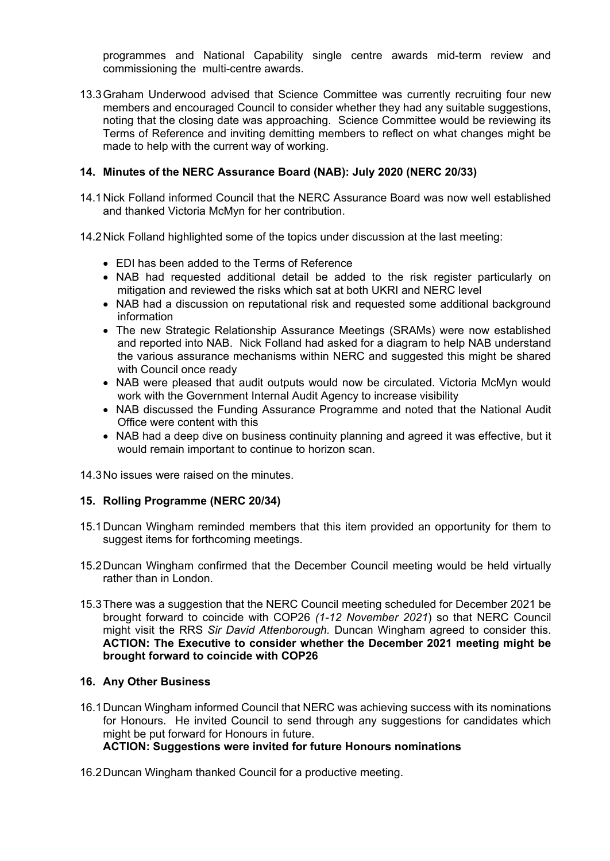programmes and National Capability single centre awards mid-term review and commissioning the multi-centre awards.

13.3Graham Underwood advised that Science Committee was currently recruiting four new members and encouraged Council to consider whether they had any suitable suggestions, noting that the closing date was approaching. Science Committee would be reviewing its Terms of Reference and inviting demitting members to reflect on what changes might be made to help with the current way of working.

## **14. Minutes of the NERC Assurance Board (NAB): July 2020 (NERC 20/33)**

- 14.1Nick Folland informed Council that the NERC Assurance Board was now well established and thanked Victoria McMyn for her contribution.
- 14.2Nick Folland highlighted some of the topics under discussion at the last meeting:
	- EDI has been added to the Terms of Reference
	- NAB had requested additional detail be added to the risk register particularly on mitigation and reviewed the risks which sat at both UKRI and NERC level
	- NAB had a discussion on reputational risk and requested some additional background information
	- The new Strategic Relationship Assurance Meetings (SRAMs) were now established and reported into NAB. Nick Folland had asked for a diagram to help NAB understand the various assurance mechanisms within NERC and suggested this might be shared with Council once ready
	- NAB were pleased that audit outputs would now be circulated. Victoria McMyn would work with the Government Internal Audit Agency to increase visibility
	- NAB discussed the Funding Assurance Programme and noted that the National Audit Office were content with this
	- NAB had a deep dive on business continuity planning and agreed it was effective, but it would remain important to continue to horizon scan.

14.3No issues were raised on the minutes.

## **15. Rolling Programme (NERC 20/34)**

- 15.1Duncan Wingham reminded members that this item provided an opportunity for them to suggest items for forthcoming meetings.
- 15.2Duncan Wingham confirmed that the December Council meeting would be held virtually rather than in London.
- 15.3There was a suggestion that the NERC Council meeting scheduled for December 2021 be brought forward to coincide with COP26 *(1-12 November 2021*) so that NERC Council might visit the RRS *Sir David Attenborough.* Duncan Wingham agreed to consider this. **ACTION: The Executive to consider whether the December 2021 meeting might be brought forward to coincide with COP26**

## **16. Any Other Business**

16.1Duncan Wingham informed Council that NERC was achieving success with its nominations for Honours. He invited Council to send through any suggestions for candidates which might be put forward for Honours in future.

# **ACTION: Suggestions were invited for future Honours nominations**

16.2Duncan Wingham thanked Council for a productive meeting.